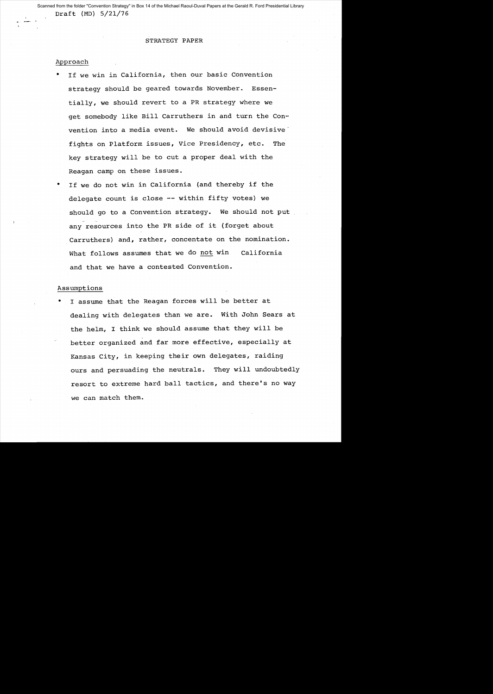Draft (MD) 5/21/76 Scanned from the folder "Convention Strategy" in Box 14 of the Michael Raoul-Duval Papers at the Gerald R. Ford Presidential Library

#### STRATEGY PAPER

#### Approach

- If we win in California, then our basic Convention strategy should be geared towards November. Essentially, we should revert to a PR strategy where we get somebody like Bill Carruthers in and turn the Convention into a media event. We should avoid devisive fights on Platform issues, Vice Presidency, etc. The key strategy will be to cut a proper deal with the Reagan camp on these issues.
- If we do not win in California (and thereby if the delegate count is close **--** within fifty votes) we should go to a Convention strategy. We should not put any resources into the PR side of it (forget about Carruthers) and, rather, concentate on the nomination. What follows assumes that we do not win California and that we have a contested Convention.

### Assumptions

I assume that the Reagan forces will be better at dealing with delegates than we are. With John Sears at the helm, I think we should assume that they will be better organized and far more effective, especially at Kansas City, in keeping their own delegates, raiding ours and persuading the neutrals. They will undoubtedly resort to extreme hard ball tactics, and there's no way we can match them.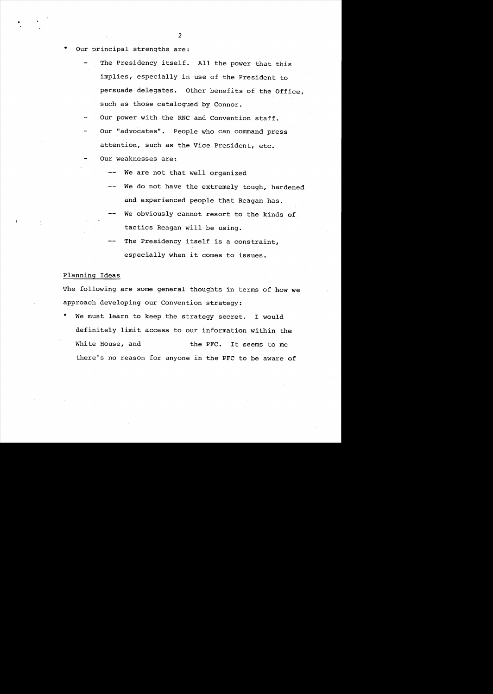Our principal strengths are:

•

- The Presidency itself. All the power that this implies, especially in use of the President to persuade delegates. Other benefits of the Office, such as those catalogued by Connor.
- Our power with the RNC and Convention staff.
- Our "advocates". People who can command press attention, such as the Vice President, etc.
- Our weaknesses are:
	- We are not that well organized
	- We do not have the extremely tough, hardened and experienced people that Reagan has.
	- We obviously cannot resort to the kinds of tactics Reagan will be using.
	- The Presidency itself is a constraint, especially when it comes to issues.

# Planning Ideas

The following are some general thoughts in terms of how we approach developing our Convention strategy:

We must learn to keep the strategy secret. I would definitely limit access to our information within the White House, and the PFC. It seems to me there's no reason for anyone in the PFC to be aware of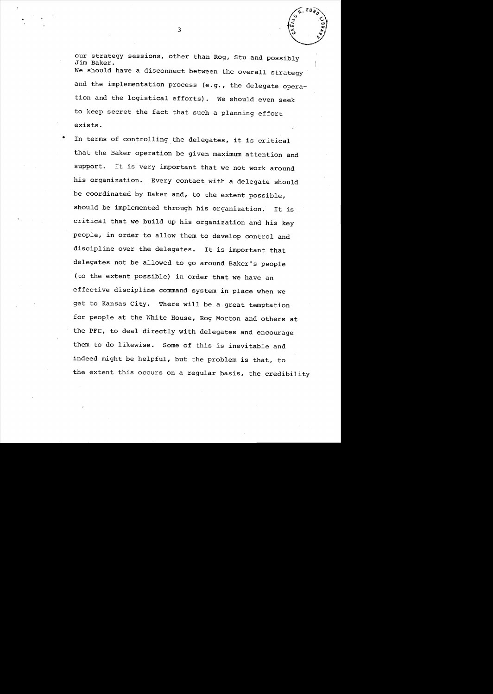our strategy sessions, other than Rog, Stu and possibly Jim Baker. We should have a disconnect between the overall strategy and the implementation process (e.g., the delegate operation and the logistical efforts). We should even seek to keep secret the fact that such a planning effort exists.

• In terms of controlling the delegates, it is critical that the Baker operation be given maximum attention and support. It is very important that we not work around his organization. Every contact with a delegate should be coordinated by Baker and, to the extent possible, should be implemented through his organization. It is critical that we build up his organization and his key people, in order to allow them to develop control and discipline over the delegates. It is important that delegates not be allowed to go around Baker's people (to the extent possible) in order that we have an effective discipline command system in place when we get to Kansas City. There will be a great temptation for people at the White House, Rog Morton and others at the PPC, to deal directly with delegates and encourage them to do likewise. Some of this is inevitable and indeed might be helpful, but the problem is that, to the extent this occurs on a regular basis, the credibility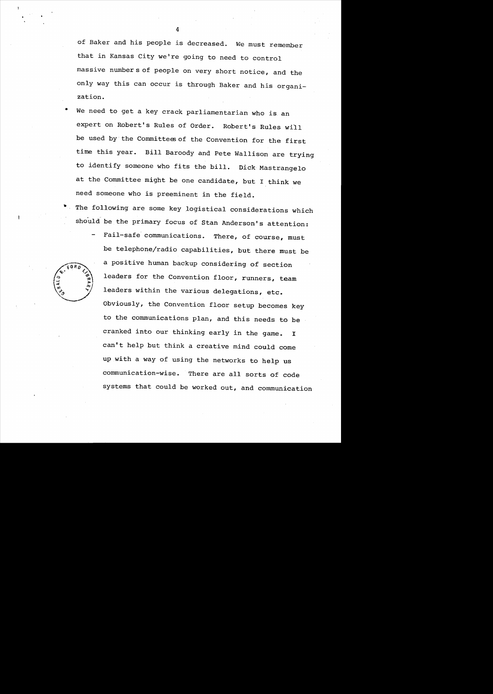of Baker and his people is decreased. We must remember that in Kansas City we're going to need to control massive number s of people on very short notice, and the only way this can occur is through Baker and his organization.

We need to get a key crack parliamentarian who is an expert on Robert's Rules of Order. Robert's Rules will be used by the Committees of the Convention for the first time this year. Bill Baroody and Pete Wallison are *trying*  to identify someone who fits the bill. Dick Mastrangelo at the Committee might be one candidate, but I think we need someone who is preeminent in the field.

The following are some key logistical considerations which should be the primary focus of Stan Anderson's attention:

> Fail-safe communications. There, of course, must be telephone/radio capabilities, but there must be a positive human backup considering of section leaders for the Convention floor, runners, team leaders within the various delegations, etc. Obviously, the Convention floor setup becomes key to the communications plan, and this needs to be cranked into our thinking early in the game. I can't help but think a creative mind could come up with a way of using the networks to help us communication-wise. There are all sorts of code systems that could be worked out, and communication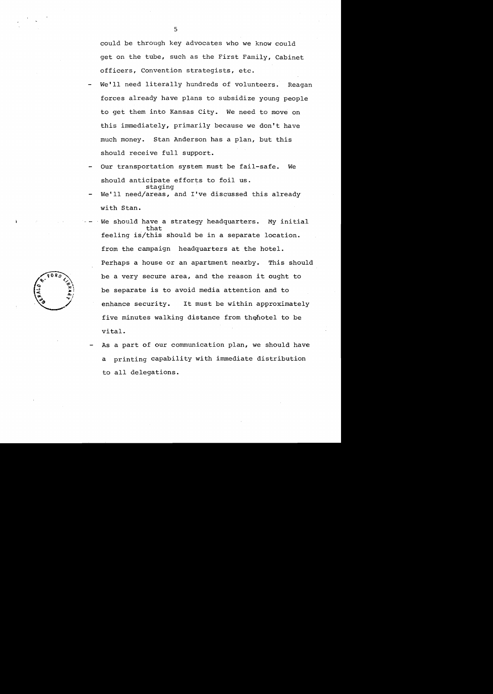could be through key advocates who we know could get on the tube, such as the First Family, Cabinet officers, Convention strategists, etc.

- We'll need literally hundreds of volunteers. Reagan forces already have plans to subsidize young people to get them into Kansas City. We need to move on this immediately, primarily because we don't have much money. Stan Anderson has a plan, but this should receive full support.
- Our transportation system must be fail-safe. We should anticipate efforts to foil us. staging
- We'll need/areas, and I've discussed this already with Stan.
- We should have a strategy headquarters. My initial that feeling is/this should be in a separate location. from the campaign headquarters at the hotel. Perhaps a house or an apartment nearby. This should be a very secure area, and the reason it ought to be separate is to avoid media attention and to enhance security. It must be within approximately five minutes walking distance from the hotel to be vital.
- As a part of our communication plan, we should have a printing capability with immediate distribution to all delegations.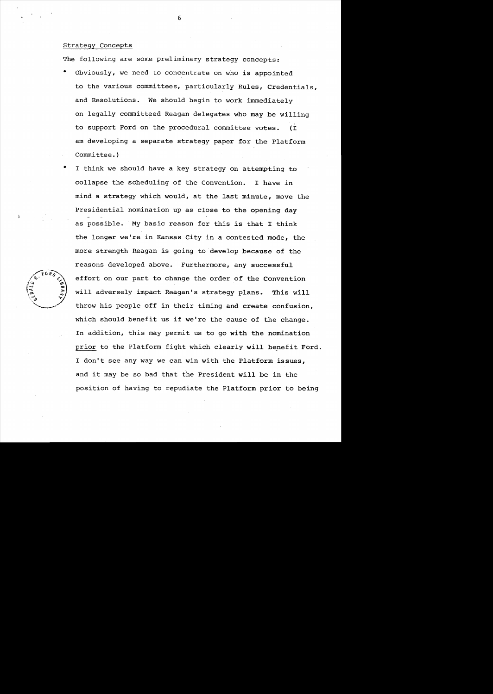## Strategy Concepts

The following are some preliminary strategy concepts:

- Obviously, we need to concentrate on who is appointed to the various committees, particularly Rules, Credentials, and Resolutions. We should begin to work immediately on legally committeed Reagan delegates who may be willing to support Ford on the procedural committee votes. (I am developing a separate strategy paper for the Platform Committee.)
- I think we should have a key strategy on attempting to collapse the scheduling of the Convention. I have in mind a strategy which would, at the last minute, move the Presidential nomination up as close to the opening day as possible. My basic reason for this is that I think the longer we're in Kansas City in a contested mode, the more strength Reagan is going to develop because of the reasons developed above. Furthermore, any successful effort on our part to change the order of the Convention will adversely impact Reagan's strategy plans. This will throw his people off in their timing and create confusion, which should benefit us if we're the cause of the change. In addition, this may permit us to go with the nomination prior to the Platform fight which clearly will benefit Ford. I don't see any way we can win with the Platform issues, and it may be so bad that the President will be in the position of having to repudiate the Platform prior to being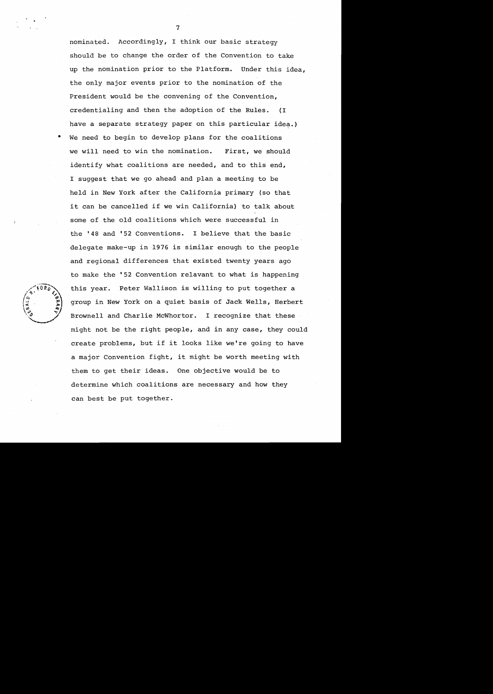nominated. Accordingly, I think our basic strategy should be to change the order of the Convention to take up the nomination prior to the Platform. Under this idea, the only major events prior to the nomination of the President would be the convening of the Convention, credentialing and then the adoption of the Rules. (I have a separate strategy paper on this particular idea.)

• We need to begin to develop plans for the coalitions we will need to win the nomination. First, we should identify what coalitions are needed, and to this end, I suggest that we go ahead and plan a meeting to be held in New York after the California primary (so that it can be cancelled if we win California) to talk about some of the old coalitions which were successful in the '48 and '52 Conventions. I believe that the basic delegate make-up in 1976 is similar enough to the people and regional differences that existed twenty years ago to make the '52 Convention relavant to what is happening this year. Peter Wallison is willing to put together a group in New York on a quiet basis of Jack Wells, Herbert Brownell and Charlie McWhortor. I recognize that these might not be the right people, and in any case, they could create problems, but if it looks like we're going to have a major Convention fight, it might be worth meeting with them to get their ideas. One objective would be to determine which coalitions are necessary and how they can best be put together.